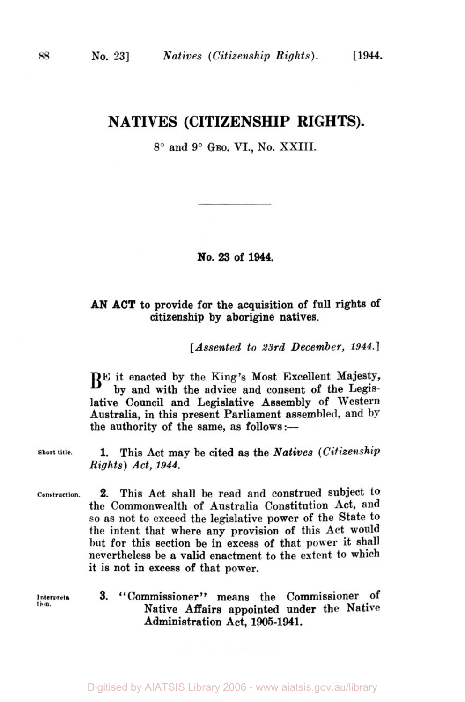# **NATIVES (CITIZENSHIP RIGHTS).**

8° and 9" **GEO.** VI., **No.** XXIII.

#### **No. 23 of 1944.**

## **AN ACT** to provide for the acquisition of full rights **of**  citizenship by aborigine natives.

*[Assented to 23rd December, 1944.]* 

BE it enacted by the King's Most Excellent Majesty, by and with the advice and consent of the Legislative Council and Legislative Assembly of Western Australia, in this present Parliament assembled, and **by**  the authority of the same, as follows:-

**Short title. 1.** This Act may be cited as the *Natives (Citizenship Rights) Act, 1944.* 

- **Construction. 2.** This Act shall be read and construed subject to the Commonwealth of Australia Constitution Act, and so as not to exceed the legislative power of the State to the intent that where any provision of this Act would but for this section be in excess of that power it shall nevertheless be **a** valid enactment to the extent to which it is not in excess of that power.
- tion
- **lnterpreta** 3. "Commissioner" means the Commissioner Of Native Affairs appointed under the Native Administration Act, **1905-1941.**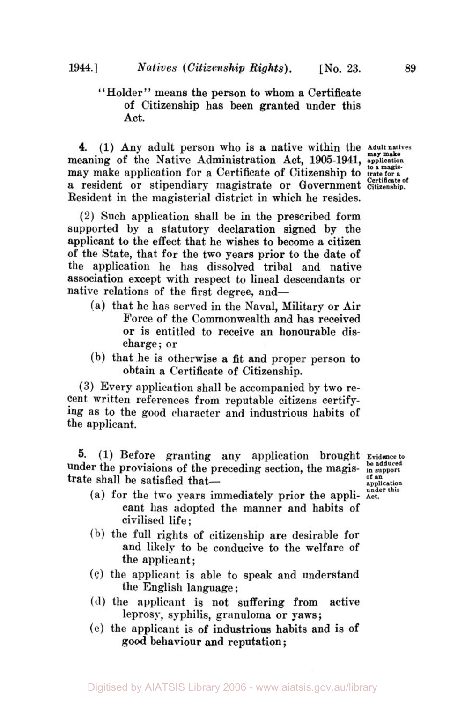"Holder" means the person to whom a Certificate of Citizenship has been granted under this Act.

**4.** (1) Any adult person who is a native within the Adult natives meaning of the Native Administration Act, 1905-1941, application a resident or stipendiary magistrate or Government **Citizenship.**  Resident in the magisterial district in which he resides. may make application for a Certificate of Citizenship to trate for a

**(2)** Such application shall be in the prescribed form supported by a statutory declaration signed by the applicant to the effect that he wishes to become a citizen of the State, that for the two years prior to the date of the application he has dissolved tribal and native association except with respect to lineal descendants or native relations of the first degree, and-

- (a) that he has served in the Naval, Military or Air Force of the Commonwealth and has received or is entitled to receive an honourable discharge; **or**
- (b) that he is otherwise a fit and proper person to obtain a Certificate of Citizenship.

**(3)** Every application shall be accompanied by two recent written references from reputable citizens certify**ing** as to the good character and industrious habits of the applicant.

**5.** (1) Before granting any application brought Evidence to der the provisions of the preceding section, the magisunder the provisions of the preceding section, the magistrate shall be satisfied that-

**of an application under this** 

- (a) for the two years immediately prior the appli- **Act.**  cant has adopted the manner and habits of civilised life ;
- (b) the full rights of citizenship are desirable for and likely **to** be conducive to the welfare of the applicant ;
- **(c)** the applicant is able to speak and understand the English language ;
- **(d)** the applicant is not suffering from active leprosy, syphilis, granuloma or yaws ;
- (e) the applicant is of industrious habits and is of good behaviour and reputation ;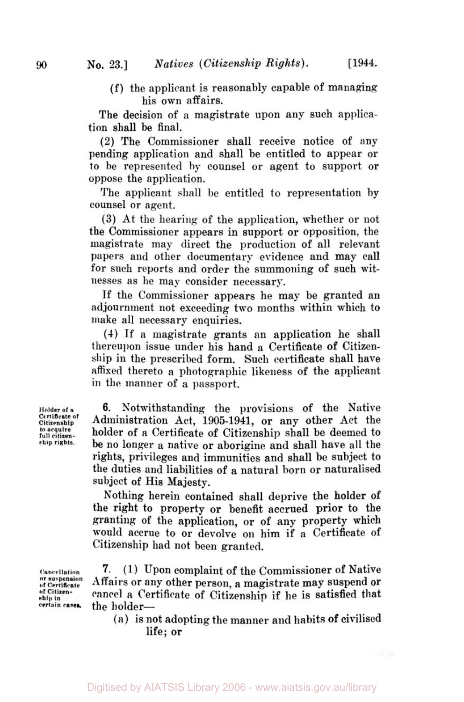**(f)** the applicant is reasonably capable of managing his own affairs.

The decision of a magistrate upon any such application shall be final.

**(2)** The Commissioner shall receive notice of any pending application and shall be entitled to appear or to be represented by counsel or agent to support **or**  oppose the application.

The applicant shall be entitled to representation by counsel or agent.

**(3)** At the hearing of the application, whether or not the Commissioner appears in support or opposition, the magistrate may direct the production of all relevant papers and other documentary evidence and **may** call for such reports and order the summoning of such witnesses as he may consider necessary.

If the Commissioner appears he may be granted an adjournment not exceeding two months within which to make all necessary enquiries.

**(4)** If a magistrate grants an application he shall thereupon issue under his hand a Certificate of Citizenship in the prescribed form. Such certificate shall have afixed thereto a photographic likeness of the applicant in the manner of a passport.

**6.** Notwithstanding the provisions of the Native Administration Act, **1905-1941, or** any other Act the holder **of** a Certificate of Citizenship shall be deemed to be no longer a native or aborigine and shall have all the rights, privileges and immunities and shall be subject to the duties and liabilities of a natural born or naturalised subject of His Majesty.

Nothing herein contained shall deprive the holder **of**  the right to property or benefit accrued prior to the granting **of** the application, or of any property which would accrue to or devolve **on** him if a Certificate **of**  Citizenship had not been granted.

**7. (1)** Upon complaint of the Commissioner of Native Affairs or any other person, a magistrate may suspend or cancel **a** Certificate **of** Citizenship if he is satisfied that the holder-

(a) is not adopting the manner and habits **of** civilised life; **or** 

**Holder of a Certificate of Citizenship to acquire full citizenship rights.**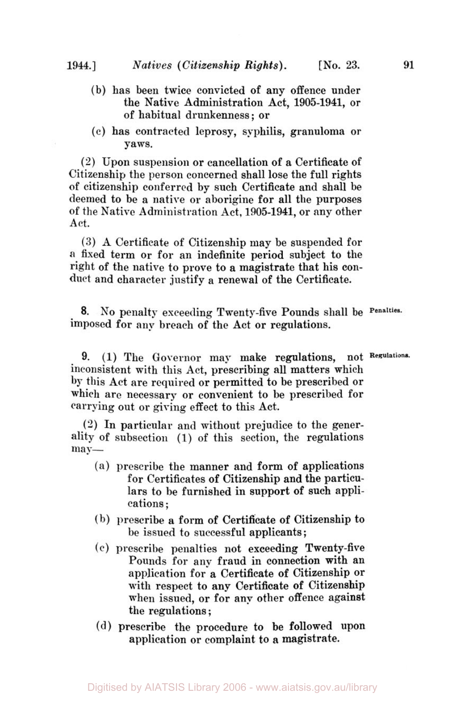- 
- (b) has been twice convicted of any offence under the Native Administration Act, **1905-1941,** or of habitual drunkenness ; or
- (e) has contracted leprosy, syphilis, granuloma or yaws.

(2) Upon suspension or cancellation of a Certificate of Citizenship the person concerned shall lose the full rights of citizenship conferred by such Certificate and shall be deemed to be a native or aborigine for all the purposes **of** the Native Administration Act, **1905-1941,** or any other Act.

**(3) A** Certificate **of** Citizenship may be suspended for **a** fixed term or for an indefinite period subject to the right of the native to prove to a magistrate that his conduct and character justify **a** renewal of the Certificate.

8. No penalty exceeding Twenty-five Pounds shall be Penalties. imposed for any breach of the Act **or** regulations.

**9.** (1) The Governor may make regulations, not **Regulations.**  inconsistent with this Act, prescribing all matters which by this Act are required or permitted to be prescribed or which are necessary or convenient to be prescribed for carrying out or giving effect to this Act.

**(2)** In particular and without prejudice to the generality of subsection **(1)** of this section, the regulations may-

- **(a)** prescribe the manner and form of applications for Certificates of Citizenship and the particulars to be furnished in support of such applications ;
- (b) prescribe a form of certificate of Citizenship to be issued to successful applicants;
- (e) prescribe penalties not exceeding Twenty-five Pounds for any fraud in connection with an application for **a** Certificate **of** Citizenship or with respect to any Certificate of Citizenship when issued, or for any other offence against the regulations ;
- (d) prescribe the procedure to be followed upon application or complaint to a magistrate.